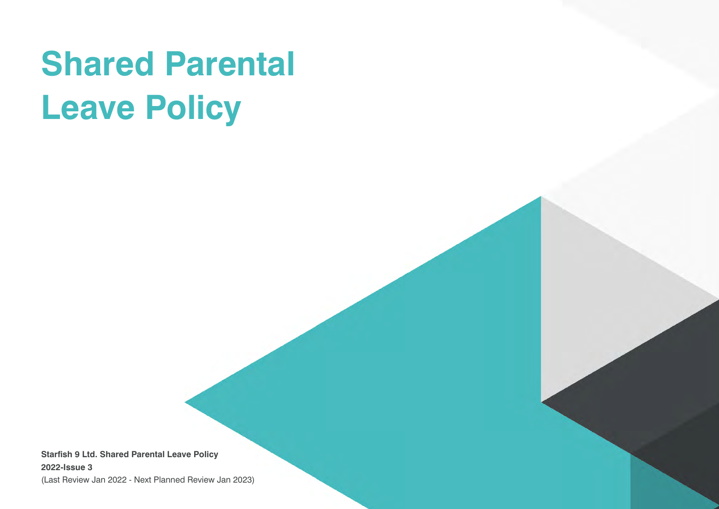# **Shared Parental Leave Policy**

**Starfish 9 Ltd. Shared Parental Leave Policy 2022-Issue 3**

(Last Review Jan 2022 - Next Planned Review Jan 2023)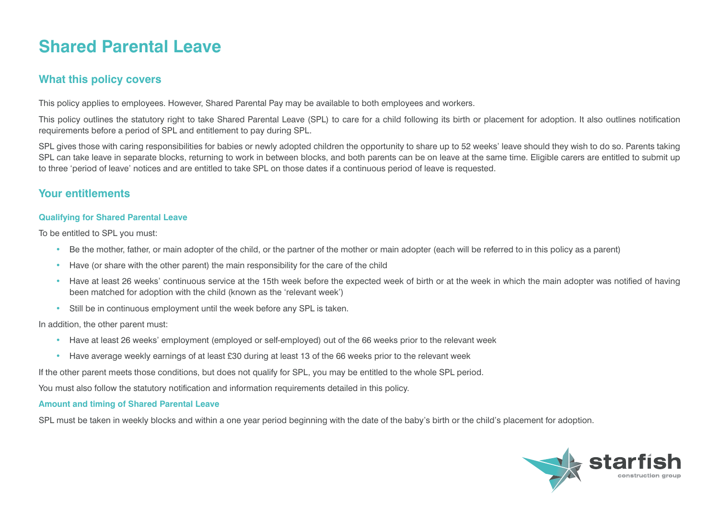# **Shared Parental Leave**

# **What this policy covers**

This policy applies to employees. However, Shared Parental Pay may be available to both employees and workers.

This policy outlines the statutory right to take Shared Parental Leave (SPL) to care for a child following its birth or placement for adoption. It also outlines notification requirements before a period of SPL and entitlement to pay during SPL.

SPL gives those with caring responsibilities for babies or newly adopted children the opportunity to share up to 52 weeks' leave should they wish to do so. Parents taking SPL can take leave in separate blocks, returning to work in between blocks, and both parents can be on leave at the same time. Eligible carers are entitled to submit up to three 'period of leave' notices and are entitled to take SPL on those dates if a continuous period of leave is requested.

# **Your entitlements**

#### **Qualifying for Shared Parental Leave**

To be entitled to SPL you must:

- Be the mother, father, or main adopter of the child, or the partner of the mother or main adopter (each will be referred to in this policy as a parent)
- Have (or share with the other parent) the main responsibility for the care of the child
- Have at least 26 weeks' continuous service at the 15th week before the expected week of birth or at the week in which the main adopter was notified of having been matched for adoption with the child (known as the 'relevant week')
- Still be in continuous employment until the week before any SPL is taken.

In addition, the other parent must:

- Have at least 26 weeks' employment (employed or self-employed) out of the 66 weeks prior to the relevant week
- Have average weekly earnings of at least £30 during at least 13 of the 66 weeks prior to the relevant week

If the other parent meets those conditions, but does not qualify for SPL, you may be entitled to the whole SPL period.

You must also follow the statutory notification and information requirements detailed in this policy.

#### **Amount and timing of Shared Parental Leave**

SPL must be taken in weekly blocks and within a one year period beginning with the date of the baby's birth or the child's placement for adoption.

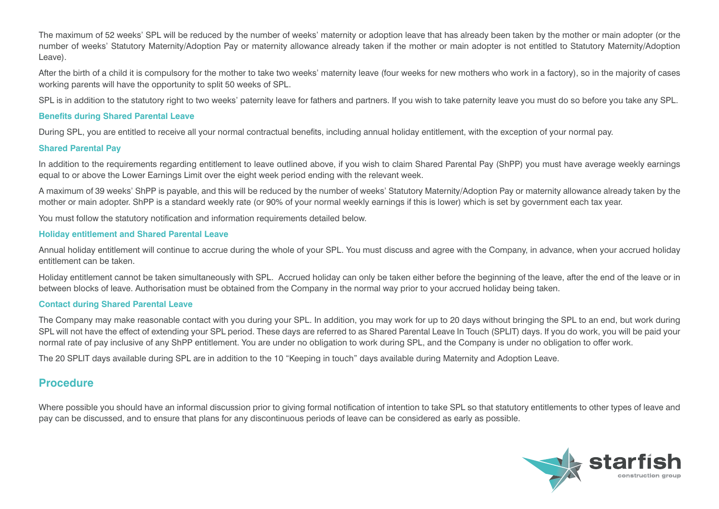The maximum of 52 weeks' SPL will be reduced by the number of weeks' maternity or adoption leave that has already been taken by the mother or main adopter (or the number of weeks' Statutory Maternity/Adoption Pay or maternity allowance already taken if the mother or main adopter is not entitled to Statutory Maternity/Adoption Leave).

After the birth of a child it is compulsory for the mother to take two weeks' maternity leave (four weeks for new mothers who work in a factory), so in the majority of cases working parents will have the opportunity to split 50 weeks of SPL.

SPL is in addition to the statutory right to two weeks' paternity leave for fathers and partners. If you wish to take paternity leave you must do so before you take any SPL.

#### **Benefits during Shared Parental Leave**

During SPL, you are entitled to receive all your normal contractual benefits, including annual holiday entitlement, with the exception of your normal pay.

#### **Shared Parental Pay**

In addition to the requirements regarding entitlement to leave outlined above, if you wish to claim Shared Parental Pay (ShPP) you must have average weekly earnings equal to or above the Lower Earnings Limit over the eight week period ending with the relevant week.

A maximum of 39 weeks' ShPP is payable, and this will be reduced by the number of weeks' Statutory Maternity/Adoption Pay or maternity allowance already taken by the mother or main adopter. ShPP is a standard weekly rate (or 90% of your normal weekly earnings if this is lower) which is set by government each tax year.

You must follow the statutory notification and information requirements detailed below.

#### **Holiday entitlement and Shared Parental Leave**

Annual holiday entitlement will continue to accrue during the whole of your SPL. You must discuss and agree with the Company, in advance, when your accrued holiday entitlement can be taken.

Holiday entitlement cannot be taken simultaneously with SPL. Accrued holiday can only be taken either before the beginning of the leave, after the end of the leave or in between blocks of leave. Authorisation must be obtained from the Company in the normal way prior to your accrued holiday being taken.

#### **Contact during Shared Parental Leave**

The Company may make reasonable contact with you during your SPL. In addition, you may work for up to 20 days without bringing the SPL to an end, but work during SPL will not have the effect of extending your SPL period. These days are referred to as Shared Parental Leave In Touch (SPLIT) days. If you do work, you will be paid your normal rate of pay inclusive of any ShPP entitlement. You are under no obligation to work during SPL, and the Company is under no obligation to offer work.

The 20 SPLIT days available during SPL are in addition to the 10 "Keeping in touch" days available during Maternity and Adoption Leave.

### **Procedure**

Where possible you should have an informal discussion prior to giving formal notification of intention to take SPL so that statutory entitlements to other types of leave and pay can be discussed, and to ensure that plans for any discontinuous periods of leave can be considered as early as possible.

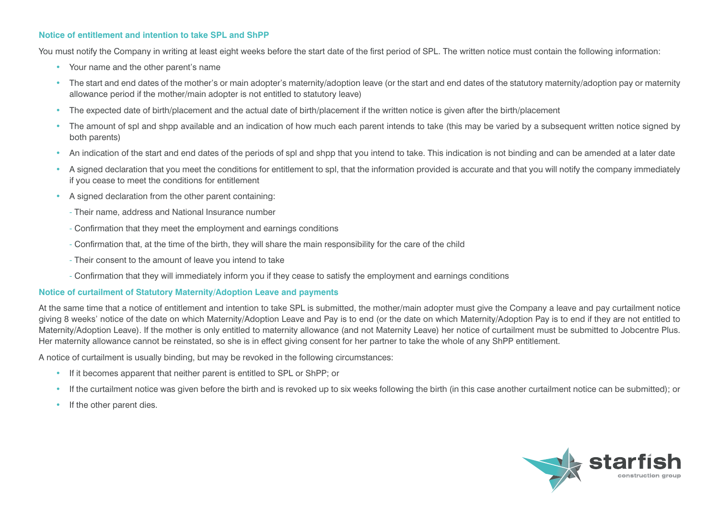#### **Notice of entitlement and intention to take SPL and ShPP**

You must notify the Company in writing at least eight weeks before the start date of the first period of SPL. The written notice must contain the following information:

- Your name and the other parent's name
- The start and end dates of the mother's or main adopter's maternity/adoption leave (or the start and end dates of the statutory maternity/adoption pay or maternity allowance period if the mother/main adopter is not entitled to statutory leave)
- The expected date of birth/placement and the actual date of birth/placement if the written notice is given after the birth/placement
- The amount of spl and shpp available and an indication of how much each parent intends to take (this may be varied by a subsequent written notice signed by both parents)
- An indication of the start and end dates of the periods of spl and shpp that you intend to take. This indication is not binding and can be amended at a later date
- A signed declaration that you meet the conditions for entitlement to spl, that the information provided is accurate and that you will notify the company immediately if you cease to meet the conditions for entitlement
- A signed declaration from the other parent containing:
	- Their name, address and National Insurance number
	- Confirmation that they meet the employment and earnings conditions
	- Confirmation that, at the time of the birth, they will share the main responsibility for the care of the child
	- Their consent to the amount of leave you intend to take
	- Confirmation that they will immediately inform you if they cease to satisfy the employment and earnings conditions

#### **Notice of curtailment of Statutory Maternity/Adoption Leave and payments**

At the same time that a notice of entitlement and intention to take SPL is submitted, the mother/main adopter must give the Company a leave and pay curtailment notice giving 8 weeks' notice of the date on which Maternity/Adoption Leave and Pay is to end (or the date on which Maternity/Adoption Pay is to end if they are not entitled to Maternity/Adoption Leave). If the mother is only entitled to maternity allowance (and not Maternity Leave) her notice of curtailment must be submitted to Jobcentre Plus. Her maternity allowance cannot be reinstated, so she is in effect giving consent for her partner to take the whole of any ShPP entitlement.

A notice of curtailment is usually binding, but may be revoked in the following circumstances:

- If it becomes apparent that neither parent is entitled to SPL or ShPP; or
- If the curtailment notice was given before the birth and is revoked up to six weeks following the birth (in this case another curtailment notice can be submitted); or
- If the other parent dies.

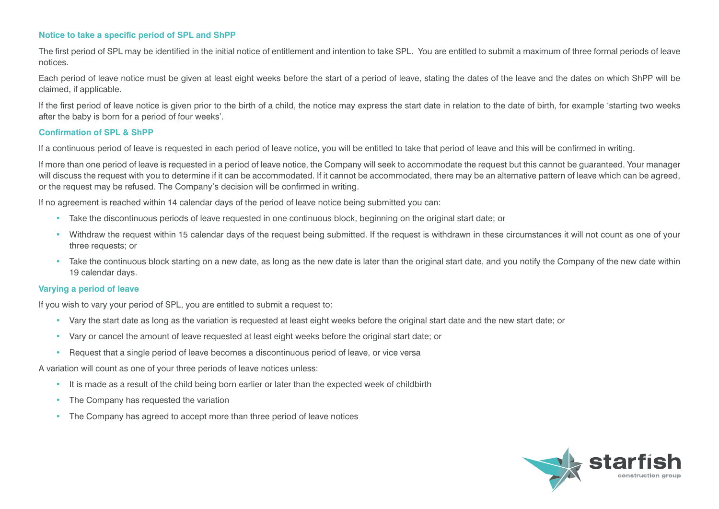#### **Notice to take a specific period of SPL and ShPP**

The first period of SPL may be identified in the initial notice of entitlement and intention to take SPL. You are entitled to submit a maximum of three formal periods of leave notices.

Each period of leave notice must be given at least eight weeks before the start of a period of leave, stating the dates of the leave and the dates on which ShPP will be claimed, if applicable.

If the first period of leave notice is given prior to the birth of a child, the notice may express the start date in relation to the date of birth, for example 'starting two weeks after the baby is born for a period of four weeks'.

#### **Confirmation of SPL & ShPP**

If a continuous period of leave is requested in each period of leave notice, you will be entitled to take that period of leave and this will be confirmed in writing.

If more than one period of leave is requested in a period of leave notice, the Company will seek to accommodate the request but this cannot be guaranteed. Your manager will discuss the request with you to determine if it can be accommodated. If it cannot be accommodated, there may be an alternative pattern of leave which can be agreed, or the request may be refused. The Company's decision will be confirmed in writing.

If no agreement is reached within 14 calendar days of the period of leave notice being submitted you can:

- Take the discontinuous periods of leave requested in one continuous block, beginning on the original start date; or
- Withdraw the request within 15 calendar days of the request being submitted. If the request is withdrawn in these circumstances it will not count as one of your three requests; or
- Take the continuous block starting on a new date, as long as the new date is later than the original start date, and you notify the Company of the new date within 19 calendar days.

#### **Varying a period of leave**

If you wish to vary your period of SPL, you are entitled to submit a request to:

- Vary the start date as long as the variation is requested at least eight weeks before the original start date and the new start date; or
- Vary or cancel the amount of leave requested at least eight weeks before the original start date; or
- Request that a single period of leave becomes a discontinuous period of leave, or vice versa

A variation will count as one of your three periods of leave notices unless:

- It is made as a result of the child being born earlier or later than the expected week of childbirth
- The Company has requested the variation
- The Company has agreed to accept more than three period of leave notices